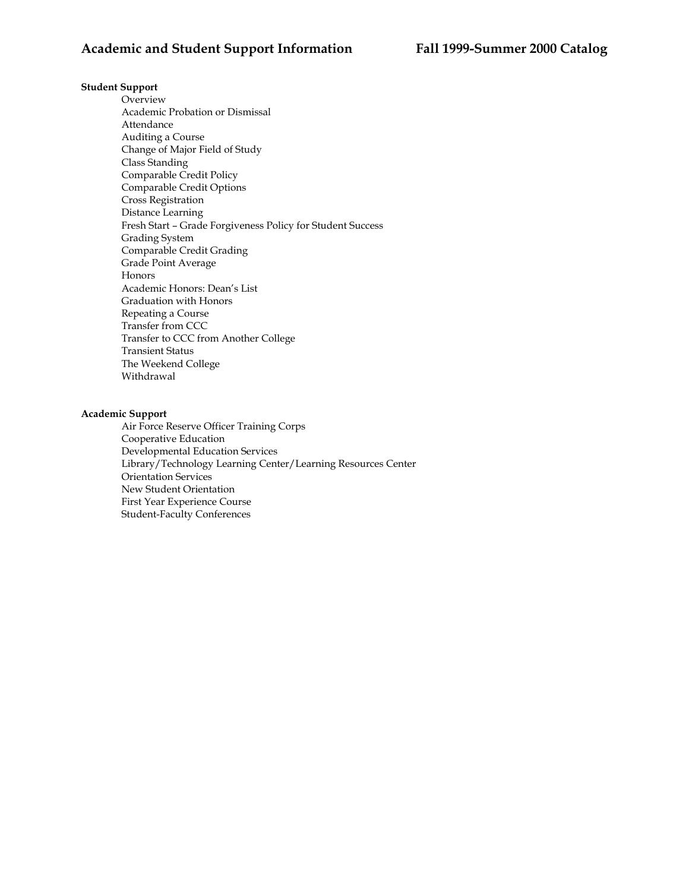# **Student Support**

Overview Academic Probation or Dismissal Attendance Auditing a Course Change of Major Field of Study Class Standing Comparable Credit Policy Comparable Credit Options Cross Registration Distance Learning Fresh Start – Grade Forgiveness Policy for Student Success Grading System Comparable Credit Grading Grade Point Average Honors Academic Honors: Dean's List Graduation with Honors Repeating a Course Transfer from CCC Transfer to CCC from Another College Transient Status The Weekend College Withdrawal

# **Academic Support**

Air Force Reserve Officer Training Corps Cooperative Education Developmental Education Services Library/Technology Learning Center/Learning Resources Center Orientation Services New Student Orientation First Year Experience Course Student-Faculty Conferences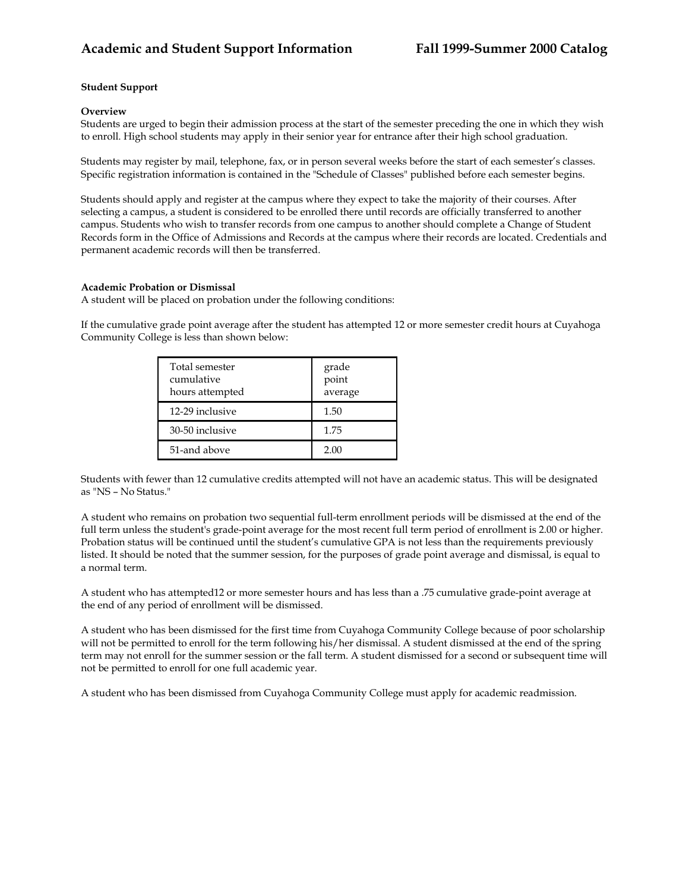# **Student Support**

### **Overview**

Students are urged to begin their admission process at the start of the semester preceding the one in which they wish to enroll. High school students may apply in their senior year for entrance after their high school graduation.

Students may register by mail, telephone, fax, or in person several weeks before the start of each semester's classes. Specific registration information is contained in the "Schedule of Classes" published before each semester begins.

Students should apply and register at the campus where they expect to take the majority of their courses. After selecting a campus, a student is considered to be enrolled there until records are officially transferred to another campus. Students who wish to transfer records from one campus to another should complete a Change of Student Records form in the Office of Admissions and Records at the campus where their records are located. Credentials and permanent academic records will then be transferred.

### **Academic Probation or Dismissal**

A student will be placed on probation under the following conditions:

If the cumulative grade point average after the student has attempted 12 or more semester credit hours at Cuyahoga Community College is less than shown below:

| Total semester<br>cumulative<br>hours attempted | grade<br>point<br>average |
|-------------------------------------------------|---------------------------|
| 12-29 inclusive                                 | 1.50                      |
| 30-50 inclusive                                 | 1.75                      |
| 51-and above                                    | 2.00                      |

Students with fewer than 12 cumulative credits attempted will not have an academic status. This will be designated as "NS – No Status."

A student who remains on probation two sequential full-term enrollment periods will be dismissed at the end of the full term unless the student's grade-point average for the most recent full term period of enrollment is 2.00 or higher. Probation status will be continued until the student's cumulative GPA is not less than the requirements previously listed. It should be noted that the summer session, for the purposes of grade point average and dismissal, is equal to a normal term.

A student who has attempted12 or more semester hours and has less than a .75 cumulative grade-point average at the end of any period of enrollment will be dismissed.

A student who has been dismissed for the first time from Cuyahoga Community College because of poor scholarship will not be permitted to enroll for the term following his/her dismissal. A student dismissed at the end of the spring term may not enroll for the summer session or the fall term. A student dismissed for a second or subsequent time will not be permitted to enroll for one full academic year.

A student who has been dismissed from Cuyahoga Community College must apply for academic readmission.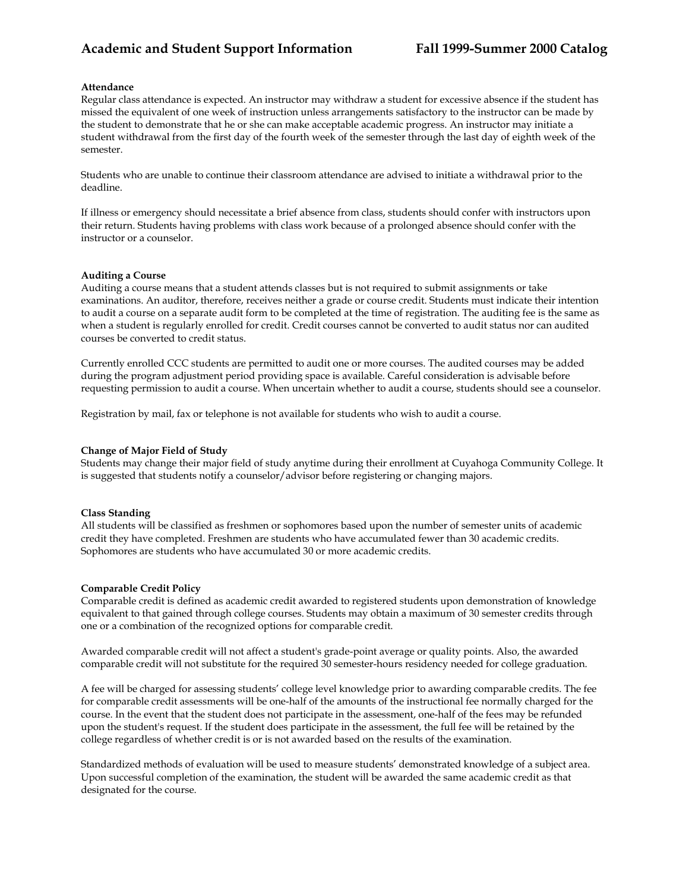### **Attendance**

Regular class attendance is expected. An instructor may withdraw a student for excessive absence if the student has missed the equivalent of one week of instruction unless arrangements satisfactory to the instructor can be made by the student to demonstrate that he or she can make acceptable academic progress. An instructor may initiate a student withdrawal from the first day of the fourth week of the semester through the last day of eighth week of the semester.

Students who are unable to continue their classroom attendance are advised to initiate a withdrawal prior to the deadline.

If illness or emergency should necessitate a brief absence from class, students should confer with instructors upon their return. Students having problems with class work because of a prolonged absence should confer with the instructor or a counselor.

#### **Auditing a Course**

Auditing a course means that a student attends classes but is not required to submit assignments or take examinations. An auditor, therefore, receives neither a grade or course credit. Students must indicate their intention to audit a course on a separate audit form to be completed at the time of registration. The auditing fee is the same as when a student is regularly enrolled for credit. Credit courses cannot be converted to audit status nor can audited courses be converted to credit status.

Currently enrolled CCC students are permitted to audit one or more courses. The audited courses may be added during the program adjustment period providing space is available. Careful consideration is advisable before requesting permission to audit a course. When uncertain whether to audit a course, students should see a counselor.

Registration by mail, fax or telephone is not available for students who wish to audit a course.

#### **Change of Major Field of Study**

Students may change their major field of study anytime during their enrollment at Cuyahoga Community College. It is suggested that students notify a counselor/advisor before registering or changing majors.

#### **Class Standing**

All students will be classified as freshmen or sophomores based upon the number of semester units of academic credit they have completed. Freshmen are students who have accumulated fewer than 30 academic credits. Sophomores are students who have accumulated 30 or more academic credits.

#### **Comparable Credit Policy**

Comparable credit is defined as academic credit awarded to registered students upon demonstration of knowledge equivalent to that gained through college courses. Students may obtain a maximum of 30 semester credits through one or a combination of the recognized options for comparable credit.

Awarded comparable credit will not affect a student's grade-point average or quality points. Also, the awarded comparable credit will not substitute for the required 30 semester-hours residency needed for college graduation.

A fee will be charged for assessing students' college level knowledge prior to awarding comparable credits. The fee for comparable credit assessments will be one-half of the amounts of the instructional fee normally charged for the course. In the event that the student does not participate in the assessment, one-half of the fees may be refunded upon the student's request. If the student does participate in the assessment, the full fee will be retained by the college regardless of whether credit is or is not awarded based on the results of the examination.

Standardized methods of evaluation will be used to measure students' demonstrated knowledge of a subject area. Upon successful completion of the examination, the student will be awarded the same academic credit as that designated for the course.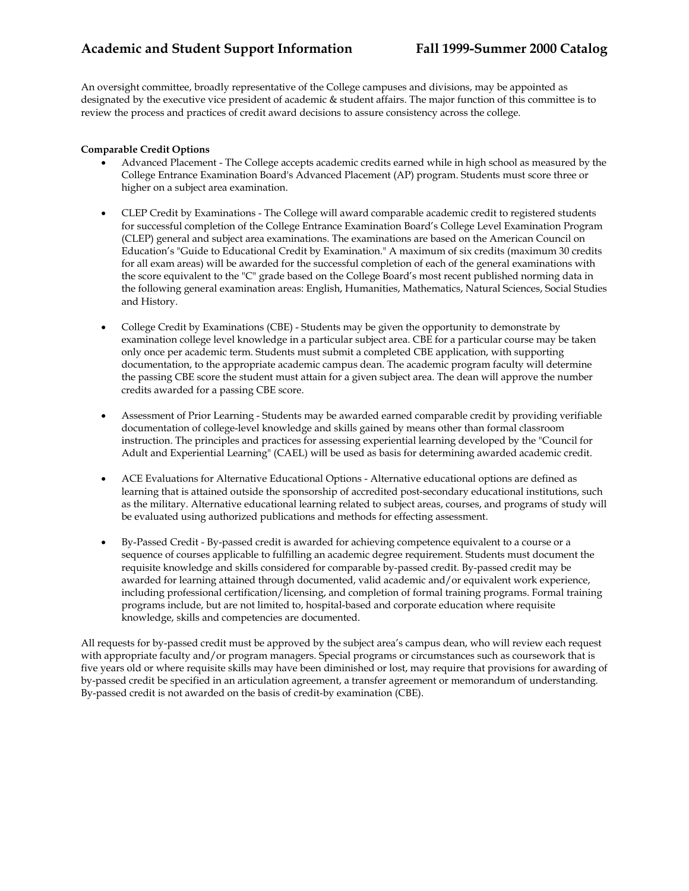An oversight committee, broadly representative of the College campuses and divisions, may be appointed as designated by the executive vice president of academic & student affairs. The major function of this committee is to review the process and practices of credit award decisions to assure consistency across the college.

# **Comparable Credit Options**

- Advanced Placement The College accepts academic credits earned while in high school as measured by the College Entrance Examination Board's Advanced Placement (AP) program. Students must score three or higher on a subject area examination.
- CLEP Credit by Examinations The College will award comparable academic credit to registered students for successful completion of the College Entrance Examination Board's College Level Examination Program (CLEP) general and subject area examinations. The examinations are based on the American Council on Education's "Guide to Educational Credit by Examination." A maximum of six credits (maximum 30 credits for all exam areas) will be awarded for the successful completion of each of the general examinations with the score equivalent to the "C" grade based on the College Board's most recent published norming data in the following general examination areas: English, Humanities, Mathematics, Natural Sciences, Social Studies and History.
- College Credit by Examinations (CBE) Students may be given the opportunity to demonstrate by examination college level knowledge in a particular subject area. CBE for a particular course may be taken only once per academic term. Students must submit a completed CBE application, with supporting documentation, to the appropriate academic campus dean. The academic program faculty will determine the passing CBE score the student must attain for a given subject area. The dean will approve the number credits awarded for a passing CBE score.
- Assessment of Prior Learning Students may be awarded earned comparable credit by providing verifiable documentation of college-level knowledge and skills gained by means other than formal classroom instruction. The principles and practices for assessing experiential learning developed by the "Council for Adult and Experiential Learning" (CAEL) will be used as basis for determining awarded academic credit.
- ACE Evaluations for Alternative Educational Options Alternative educational options are defined as learning that is attained outside the sponsorship of accredited post-secondary educational institutions, such as the military. Alternative educational learning related to subject areas, courses, and programs of study will be evaluated using authorized publications and methods for effecting assessment.
- By-Passed Credit By-passed credit is awarded for achieving competence equivalent to a course or a sequence of courses applicable to fulfilling an academic degree requirement. Students must document the requisite knowledge and skills considered for comparable by-passed credit. By-passed credit may be awarded for learning attained through documented, valid academic and/or equivalent work experience, including professional certification/licensing, and completion of formal training programs. Formal training programs include, but are not limited to, hospital-based and corporate education where requisite knowledge, skills and competencies are documented.

All requests for by-passed credit must be approved by the subject area's campus dean, who will review each request with appropriate faculty and/or program managers. Special programs or circumstances such as coursework that is five years old or where requisite skills may have been diminished or lost, may require that provisions for awarding of by-passed credit be specified in an articulation agreement, a transfer agreement or memorandum of understanding. By-passed credit is not awarded on the basis of credit-by examination (CBE).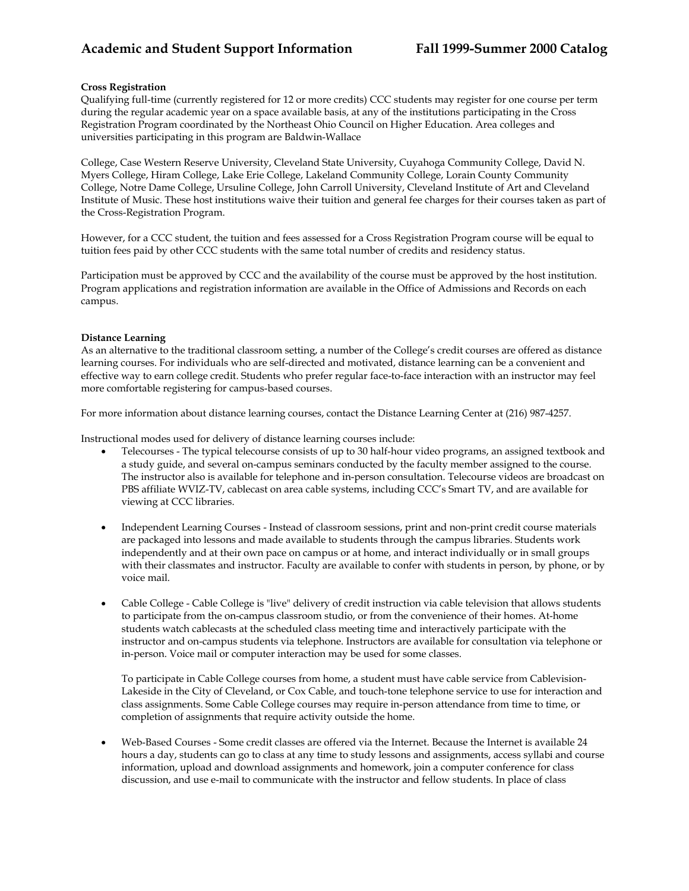# **Cross Registration**

Qualifying full-time (currently registered for 12 or more credits) CCC students may register for one course per term during the regular academic year on a space available basis, at any of the institutions participating in the Cross Registration Program coordinated by the Northeast Ohio Council on Higher Education. Area colleges and universities participating in this program are Baldwin-Wallace

College, Case Western Reserve University, Cleveland State University, Cuyahoga Community College, David N. Myers College, Hiram College, Lake Erie College, Lakeland Community College, Lorain County Community College, Notre Dame College, Ursuline College, John Carroll University, Cleveland Institute of Art and Cleveland Institute of Music. These host institutions waive their tuition and general fee charges for their courses taken as part of the Cross-Registration Program.

However, for a CCC student, the tuition and fees assessed for a Cross Registration Program course will be equal to tuition fees paid by other CCC students with the same total number of credits and residency status.

Participation must be approved by CCC and the availability of the course must be approved by the host institution. Program applications and registration information are available in the Office of Admissions and Records on each campus.

# **Distance Learning**

As an alternative to the traditional classroom setting, a number of the College's credit courses are offered as distance learning courses. For individuals who are self-directed and motivated, distance learning can be a convenient and effective way to earn college credit. Students who prefer regular face-to-face interaction with an instructor may feel more comfortable registering for campus-based courses.

For more information about distance learning courses, contact the Distance Learning Center at (216) 987-4257.

Instructional modes used for delivery of distance learning courses include:

- Telecourses The typical telecourse consists of up to 30 half-hour video programs, an assigned textbook and a study guide, and several on-campus seminars conducted by the faculty member assigned to the course. The instructor also is available for telephone and in-person consultation. Telecourse videos are broadcast on PBS affiliate WVIZ-TV, cablecast on area cable systems, including CCC's Smart TV, and are available for viewing at CCC libraries.
- Independent Learning Courses Instead of classroom sessions, print and non-print credit course materials are packaged into lessons and made available to students through the campus libraries. Students work independently and at their own pace on campus or at home, and interact individually or in small groups with their classmates and instructor. Faculty are available to confer with students in person, by phone, or by voice mail.
- Cable College Cable College is "live" delivery of credit instruction via cable television that allows students to participate from the on-campus classroom studio, or from the convenience of their homes. At-home students watch cablecasts at the scheduled class meeting time and interactively participate with the instructor and on-campus students via telephone. Instructors are available for consultation via telephone or in-person. Voice mail or computer interaction may be used for some classes.

To participate in Cable College courses from home, a student must have cable service from Cablevision-Lakeside in the City of Cleveland, or Cox Cable, and touch-tone telephone service to use for interaction and class assignments. Some Cable College courses may require in-person attendance from time to time, or completion of assignments that require activity outside the home.

• Web-Based Courses - Some credit classes are offered via the Internet. Because the Internet is available 24 hours a day, students can go to class at any time to study lessons and assignments, access syllabi and course information, upload and download assignments and homework, join a computer conference for class discussion, and use e-mail to communicate with the instructor and fellow students. In place of class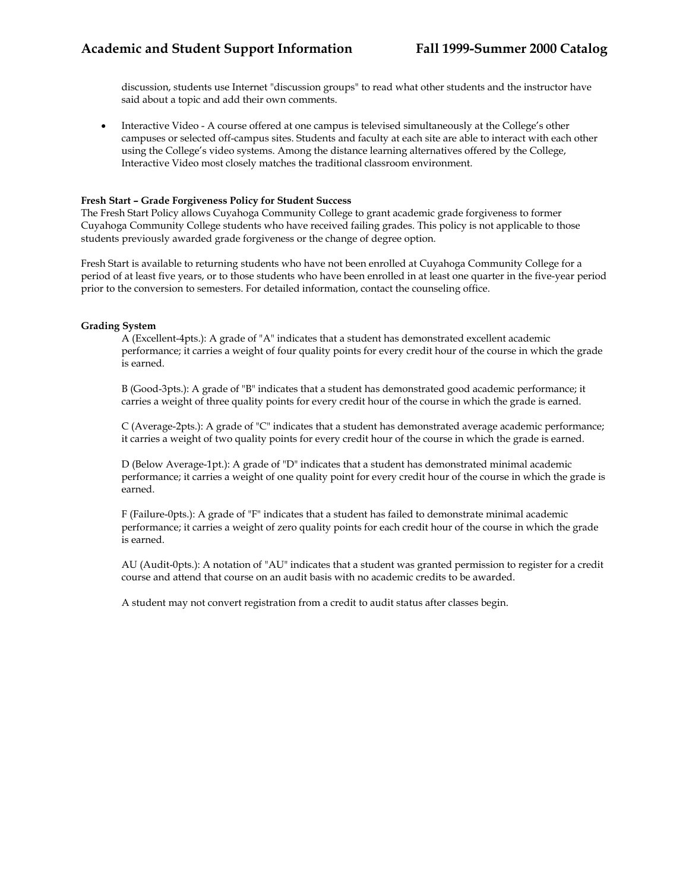discussion, students use Internet "discussion groups" to read what other students and the instructor have said about a topic and add their own comments.

• Interactive Video - A course offered at one campus is televised simultaneously at the College's other campuses or selected off-campus sites. Students and faculty at each site are able to interact with each other using the College's video systems. Among the distance learning alternatives offered by the College, Interactive Video most closely matches the traditional classroom environment.

### **Fresh Start – Grade Forgiveness Policy for Student Success**

The Fresh Start Policy allows Cuyahoga Community College to grant academic grade forgiveness to former Cuyahoga Community College students who have received failing grades. This policy is not applicable to those students previously awarded grade forgiveness or the change of degree option.

Fresh Start is available to returning students who have not been enrolled at Cuyahoga Community College for a period of at least five years, or to those students who have been enrolled in at least one quarter in the five-year period prior to the conversion to semesters. For detailed information, contact the counseling office.

# **Grading System**

A (Excellent-4pts.): A grade of "A" indicates that a student has demonstrated excellent academic performance; it carries a weight of four quality points for every credit hour of the course in which the grade is earned.

B (Good-3pts.): A grade of "B" indicates that a student has demonstrated good academic performance; it carries a weight of three quality points for every credit hour of the course in which the grade is earned.

C (Average-2pts.): A grade of "C" indicates that a student has demonstrated average academic performance; it carries a weight of two quality points for every credit hour of the course in which the grade is earned.

D (Below Average-1pt.): A grade of "D" indicates that a student has demonstrated minimal academic performance; it carries a weight of one quality point for every credit hour of the course in which the grade is earned.

F (Failure-0pts.): A grade of "F" indicates that a student has failed to demonstrate minimal academic performance; it carries a weight of zero quality points for each credit hour of the course in which the grade is earned.

AU (Audit-0pts.): A notation of "AU" indicates that a student was granted permission to register for a credit course and attend that course on an audit basis with no academic credits to be awarded.

A student may not convert registration from a credit to audit status after classes begin.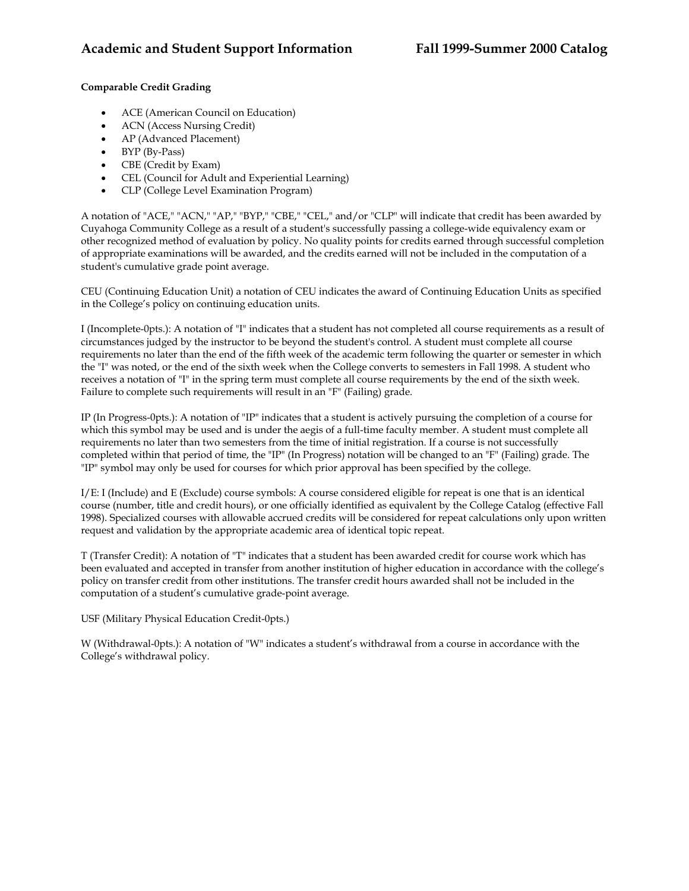# **Comparable Credit Grading**

- ACE (American Council on Education)
- ACN (Access Nursing Credit)
- AP (Advanced Placement)
- BYP (By-Pass)
- CBE (Credit by Exam)
- CEL (Council for Adult and Experiential Learning)
- CLP (College Level Examination Program)

A notation of "ACE," "ACN," "AP," "BYP," "CBE," "CEL," and/or "CLP" will indicate that credit has been awarded by Cuyahoga Community College as a result of a student's successfully passing a college-wide equivalency exam or other recognized method of evaluation by policy. No quality points for credits earned through successful completion of appropriate examinations will be awarded, and the credits earned will not be included in the computation of a student's cumulative grade point average.

CEU (Continuing Education Unit) a notation of CEU indicates the award of Continuing Education Units as specified in the College's policy on continuing education units.

I (Incomplete-0pts.): A notation of "I" indicates that a student has not completed all course requirements as a result of circumstances judged by the instructor to be beyond the student's control. A student must complete all course requirements no later than the end of the fifth week of the academic term following the quarter or semester in which the "I" was noted, or the end of the sixth week when the College converts to semesters in Fall 1998. A student who receives a notation of "I" in the spring term must complete all course requirements by the end of the sixth week. Failure to complete such requirements will result in an "F" (Failing) grade.

IP (In Progress-0pts.): A notation of "IP" indicates that a student is actively pursuing the completion of a course for which this symbol may be used and is under the aegis of a full-time faculty member. A student must complete all requirements no later than two semesters from the time of initial registration. If a course is not successfully completed within that period of time, the "IP" (In Progress) notation will be changed to an "F" (Failing) grade. The "IP" symbol may only be used for courses for which prior approval has been specified by the college.

I/E: I (Include) and E (Exclude) course symbols: A course considered eligible for repeat is one that is an identical course (number, title and credit hours), or one officially identified as equivalent by the College Catalog (effective Fall 1998). Specialized courses with allowable accrued credits will be considered for repeat calculations only upon written request and validation by the appropriate academic area of identical topic repeat.

T (Transfer Credit): A notation of "T" indicates that a student has been awarded credit for course work which has been evaluated and accepted in transfer from another institution of higher education in accordance with the college's policy on transfer credit from other institutions. The transfer credit hours awarded shall not be included in the computation of a student's cumulative grade-point average.

USF (Military Physical Education Credit-0pts.)

W (Withdrawal-0pts.): A notation of "W" indicates a student's withdrawal from a course in accordance with the College's withdrawal policy.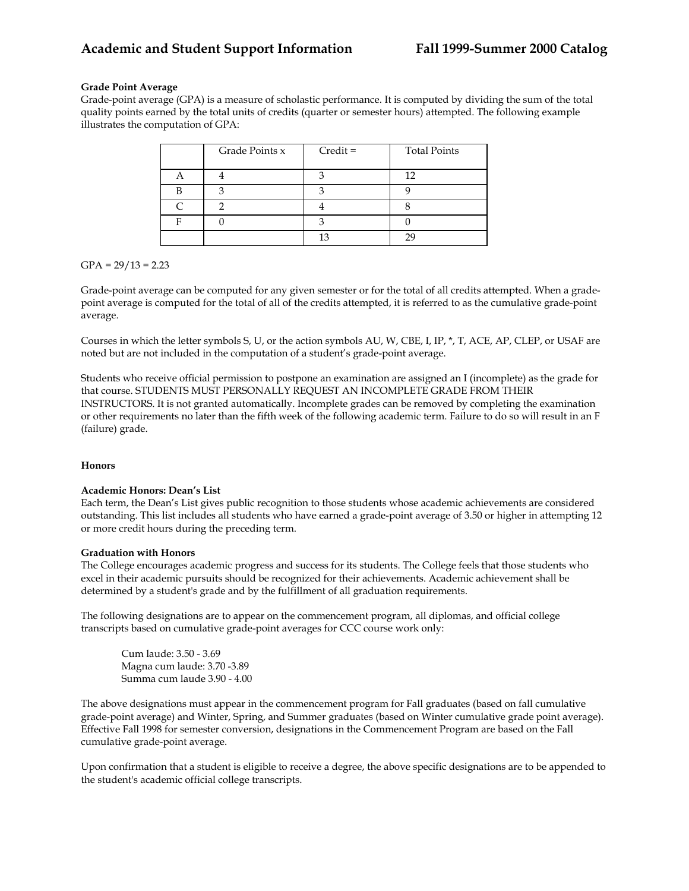# **Grade Point Average**

Grade-point average (GPA) is a measure of scholastic performance. It is computed by dividing the sum of the total quality points earned by the total units of credits (quarter or semester hours) attempted. The following example illustrates the computation of GPA:

| Grade Points x | $Credit =$ | <b>Total Points</b> |
|----------------|------------|---------------------|
|                |            | 12                  |
|                |            |                     |
|                |            |                     |
|                |            |                     |
|                |            |                     |

 $GPA = 29/13 = 2.23$ 

Grade-point average can be computed for any given semester or for the total of all credits attempted. When a gradepoint average is computed for the total of all of the credits attempted, it is referred to as the cumulative grade-point average.

Courses in which the letter symbols S, U, or the action symbols AU, W, CBE, I, IP, \*, T, ACE, AP, CLEP, or USAF are noted but are not included in the computation of a student's grade-point average.

Students who receive official permission to postpone an examination are assigned an I (incomplete) as the grade for that course. STUDENTS MUST PERSONALLY REQUEST AN INCOMPLETE GRADE FROM THEIR INSTRUCTORS. It is not granted automatically. Incomplete grades can be removed by completing the examination or other requirements no later than the fifth week of the following academic term. Failure to do so will result in an F (failure) grade.

# **Honors**

# **Academic Honors: Dean's List**

Each term, the Dean's List gives public recognition to those students whose academic achievements are considered outstanding. This list includes all students who have earned a grade-point average of 3.50 or higher in attempting 12 or more credit hours during the preceding term.

### **Graduation with Honors**

The College encourages academic progress and success for its students. The College feels that those students who excel in their academic pursuits should be recognized for their achievements. Academic achievement shall be determined by a student's grade and by the fulfillment of all graduation requirements.

The following designations are to appear on the commencement program, all diplomas, and official college transcripts based on cumulative grade-point averages for CCC course work only:

Cum laude: 3.50 - 3.69 Magna cum laude: 3.70 -3.89 Summa cum laude 3.90 - 4.00

The above designations must appear in the commencement program for Fall graduates (based on fall cumulative grade-point average) and Winter, Spring, and Summer graduates (based on Winter cumulative grade point average). Effective Fall 1998 for semester conversion, designations in the Commencement Program are based on the Fall cumulative grade-point average.

Upon confirmation that a student is eligible to receive a degree, the above specific designations are to be appended to the student's academic official college transcripts.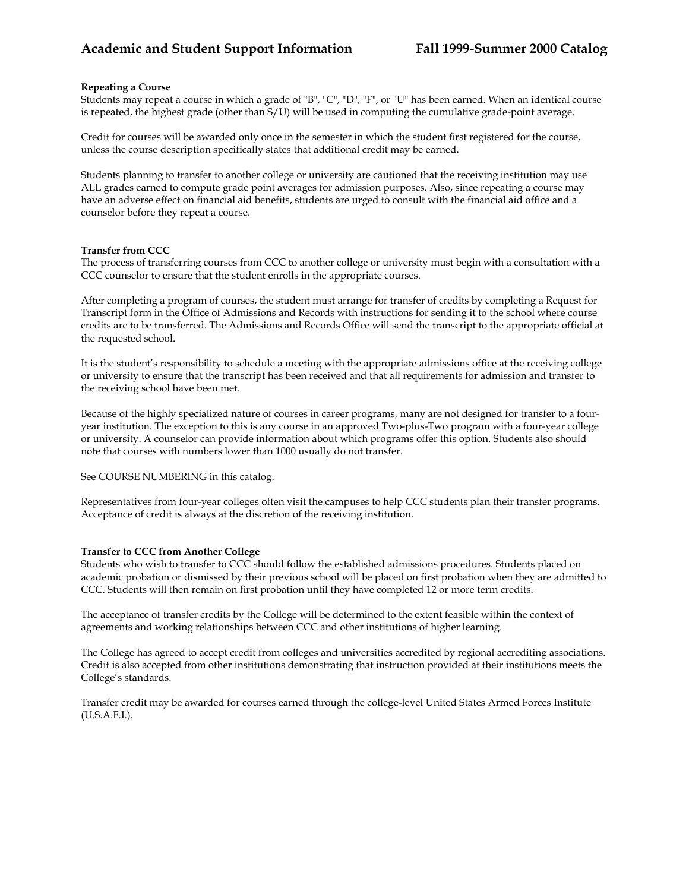### **Repeating a Course**

Students may repeat a course in which a grade of "B", "C", "D", "F", or "U" has been earned. When an identical course is repeated, the highest grade (other than S/U) will be used in computing the cumulative grade-point average.

Credit for courses will be awarded only once in the semester in which the student first registered for the course, unless the course description specifically states that additional credit may be earned.

Students planning to transfer to another college or university are cautioned that the receiving institution may use ALL grades earned to compute grade point averages for admission purposes. Also, since repeating a course may have an adverse effect on financial aid benefits, students are urged to consult with the financial aid office and a counselor before they repeat a course.

#### **Transfer from CCC**

The process of transferring courses from CCC to another college or university must begin with a consultation with a CCC counselor to ensure that the student enrolls in the appropriate courses.

After completing a program of courses, the student must arrange for transfer of credits by completing a Request for Transcript form in the Office of Admissions and Records with instructions for sending it to the school where course credits are to be transferred. The Admissions and Records Office will send the transcript to the appropriate official at the requested school.

It is the student's responsibility to schedule a meeting with the appropriate admissions office at the receiving college or university to ensure that the transcript has been received and that all requirements for admission and transfer to the receiving school have been met.

Because of the highly specialized nature of courses in career programs, many are not designed for transfer to a fouryear institution. The exception to this is any course in an approved Two-plus-Two program with a four-year college or university. A counselor can provide information about which programs offer this option. Students also should note that courses with numbers lower than 1000 usually do not transfer.

See COURSE NUMBERING in this catalog.

Representatives from four-year colleges often visit the campuses to help CCC students plan their transfer programs. Acceptance of credit is always at the discretion of the receiving institution.

#### **Transfer to CCC from Another College**

Students who wish to transfer to CCC should follow the established admissions procedures. Students placed on academic probation or dismissed by their previous school will be placed on first probation when they are admitted to CCC. Students will then remain on first probation until they have completed 12 or more term credits.

The acceptance of transfer credits by the College will be determined to the extent feasible within the context of agreements and working relationships between CCC and other institutions of higher learning.

The College has agreed to accept credit from colleges and universities accredited by regional accrediting associations. Credit is also accepted from other institutions demonstrating that instruction provided at their institutions meets the College's standards.

Transfer credit may be awarded for courses earned through the college-level United States Armed Forces Institute (U.S.A.F.I.).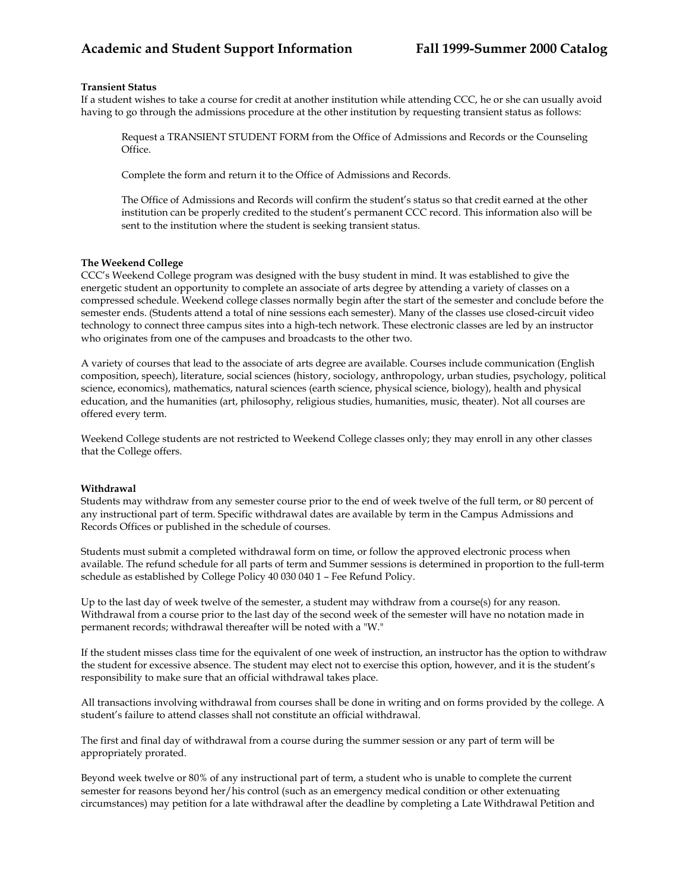### **Transient Status**

If a student wishes to take a course for credit at another institution while attending CCC, he or she can usually avoid having to go through the admissions procedure at the other institution by requesting transient status as follows:

Request a TRANSIENT STUDENT FORM from the Office of Admissions and Records or the Counseling Office.

Complete the form and return it to the Office of Admissions and Records.

The Office of Admissions and Records will confirm the student's status so that credit earned at the other institution can be properly credited to the student's permanent CCC record. This information also will be sent to the institution where the student is seeking transient status.

### **The Weekend College**

CCC's Weekend College program was designed with the busy student in mind. It was established to give the energetic student an opportunity to complete an associate of arts degree by attending a variety of classes on a compressed schedule. Weekend college classes normally begin after the start of the semester and conclude before the semester ends. (Students attend a total of nine sessions each semester). Many of the classes use closed-circuit video technology to connect three campus sites into a high-tech network. These electronic classes are led by an instructor who originates from one of the campuses and broadcasts to the other two.

A variety of courses that lead to the associate of arts degree are available. Courses include communication (English composition, speech), literature, social sciences (history, sociology, anthropology, urban studies, psychology, political science, economics), mathematics, natural sciences (earth science, physical science, biology), health and physical education, and the humanities (art, philosophy, religious studies, humanities, music, theater). Not all courses are offered every term.

Weekend College students are not restricted to Weekend College classes only; they may enroll in any other classes that the College offers.

### **Withdrawal**

Students may withdraw from any semester course prior to the end of week twelve of the full term, or 80 percent of any instructional part of term. Specific withdrawal dates are available by term in the Campus Admissions and Records Offices or published in the schedule of courses.

Students must submit a completed withdrawal form on time, or follow the approved electronic process when available. The refund schedule for all parts of term and Summer sessions is determined in proportion to the full-term schedule as established by College Policy 40 030 040 1 – Fee Refund Policy.

Up to the last day of week twelve of the semester, a student may withdraw from a course(s) for any reason. Withdrawal from a course prior to the last day of the second week of the semester will have no notation made in permanent records; withdrawal thereafter will be noted with a "W."

If the student misses class time for the equivalent of one week of instruction, an instructor has the option to withdraw the student for excessive absence. The student may elect not to exercise this option, however, and it is the student's responsibility to make sure that an official withdrawal takes place.

All transactions involving withdrawal from courses shall be done in writing and on forms provided by the college. A student's failure to attend classes shall not constitute an official withdrawal.

The first and final day of withdrawal from a course during the summer session or any part of term will be appropriately prorated.

Beyond week twelve or 80% of any instructional part of term, a student who is unable to complete the current semester for reasons beyond her/his control (such as an emergency medical condition or other extenuating circumstances) may petition for a late withdrawal after the deadline by completing a Late Withdrawal Petition and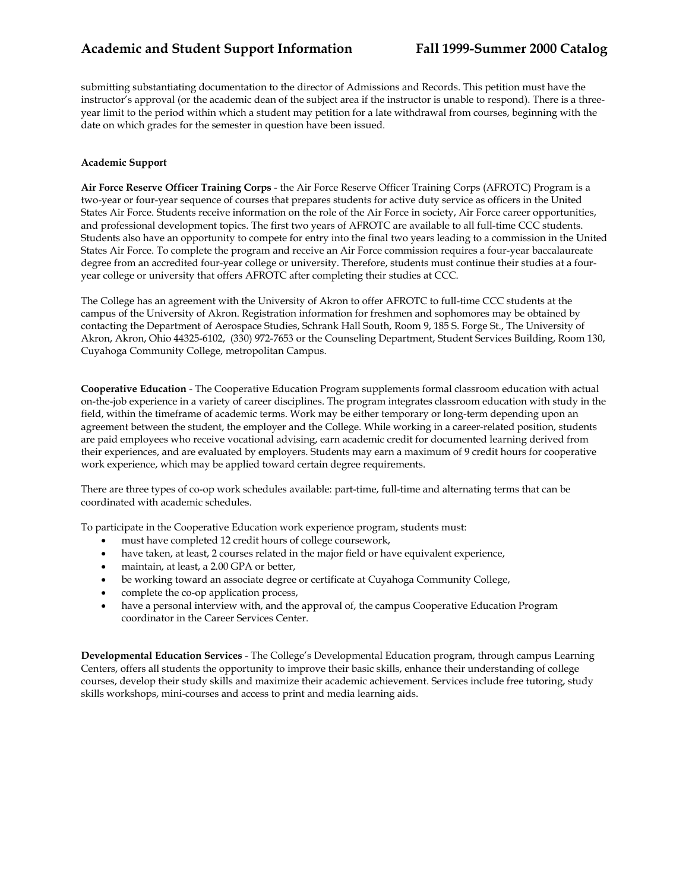submitting substantiating documentation to the director of Admissions and Records. This petition must have the instructor's approval (or the academic dean of the subject area if the instructor is unable to respond). There is a threeyear limit to the period within which a student may petition for a late withdrawal from courses, beginning with the date on which grades for the semester in question have been issued.

# **Academic Support**

**Air Force Reserve Officer Training Corps** - the Air Force Reserve Officer Training Corps (AFROTC) Program is a two-year or four-year sequence of courses that prepares students for active duty service as officers in the United States Air Force. Students receive information on the role of the Air Force in society, Air Force career opportunities, and professional development topics. The first two years of AFROTC are available to all full-time CCC students. Students also have an opportunity to compete for entry into the final two years leading to a commission in the United States Air Force. To complete the program and receive an Air Force commission requires a four-year baccalaureate degree from an accredited four-year college or university. Therefore, students must continue their studies at a fouryear college or university that offers AFROTC after completing their studies at CCC.

The College has an agreement with the University of Akron to offer AFROTC to full-time CCC students at the campus of the University of Akron. Registration information for freshmen and sophomores may be obtained by contacting the Department of Aerospace Studies, Schrank Hall South, Room 9, 185 S. Forge St., The University of Akron, Akron, Ohio 44325-6102, (330) 972-7653 or the Counseling Department, Student Services Building, Room 130, Cuyahoga Community College, metropolitan Campus.

**Cooperative Education** - The Cooperative Education Program supplements formal classroom education with actual on-the-job experience in a variety of career disciplines. The program integrates classroom education with study in the field, within the timeframe of academic terms. Work may be either temporary or long-term depending upon an agreement between the student, the employer and the College. While working in a career-related position, students are paid employees who receive vocational advising, earn academic credit for documented learning derived from their experiences, and are evaluated by employers. Students may earn a maximum of 9 credit hours for cooperative work experience, which may be applied toward certain degree requirements.

There are three types of co-op work schedules available: part-time, full-time and alternating terms that can be coordinated with academic schedules.

To participate in the Cooperative Education work experience program, students must:

- must have completed 12 credit hours of college coursework,
- have taken, at least, 2 courses related in the major field or have equivalent experience,
- maintain, at least, a 2.00 GPA or better,
- be working toward an associate degree or certificate at Cuyahoga Community College,
- complete the co-op application process,
- have a personal interview with, and the approval of, the campus Cooperative Education Program coordinator in the Career Services Center.

**Developmental Education Services** - The College's Developmental Education program, through campus Learning Centers, offers all students the opportunity to improve their basic skills, enhance their understanding of college courses, develop their study skills and maximize their academic achievement. Services include free tutoring, study skills workshops, mini-courses and access to print and media learning aids.